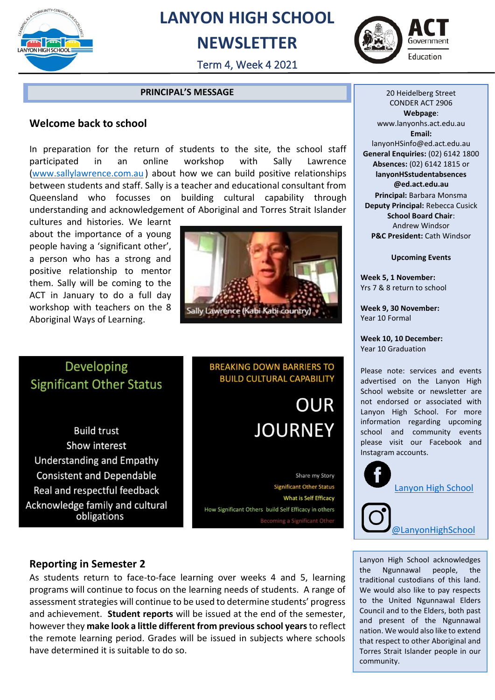

## **LANYON HIGH SCHOOL**

## **NEWSLETTER**



Term 4, Week 4 2021

#### **PRINCIPAL'S MESSAGE**

#### **Welcome back to school**

In preparation for the return of students to the site, the school staff participated in an online workshop with Sally Lawrence [\(www.sallylawrence.com.au](http://www.sallylawrence.com.au/) ) about how we can build positive relationships between students and staff. Sally is a teacher and educational consultant from Queensland who focusses on building cultural capability through understanding and acknowledgement of Aboriginal and Torres Strait Islander

cultures and histories. We learnt about the importance of a young people having a 'significant other', a person who has a strong and positive relationship to mentor them. Sally will be coming to the ACT in January to do a full day workshop with teachers on the 8 Aboriginal Ways of Learning.



### Developing **Significant Other Status**

**Build trust** Show interest **Understanding and Empathy Consistent and Dependable** Real and respectful feedback Acknowledge family and cultural obligations

#### **BREAKING DOWN BARRIERS TO BUILD CULTURAL CAPABILITY**

**OUR JOURNEY** 

Share my Story **Significant Other Status** What is Self Efficacy How Significant Others build Self Efficacy in others **Becoming a Significant Other** 

20 Heidelberg Street CONDER ACT 2906 **Webpage**: www.lanyonhs.act.edu.au **Email:**  lanyonHSinfo@ed.act.edu.au **General Enquiries:** (02) 6142 1800 **Absences:** (02) 6142 1815 or **lanyonHSstudentabsences @ed.act.edu.au Principal:** Barbara Monsma **Deputy Principal:** Rebecca Cusick **School Board Chair**: Andrew Windsor **P&C President:** Cath Windsor

**Upcoming Events**

**Week 5, 1 November:**  Yrs 7 & 8 return to school

**Week 9, 30 November:** Year 10 Formal

**Week 10, 10 December:** Year 10 Graduation

Please note: services and events advertised on the Lanyon High School website or newsletter are not endorsed or associated with Lanyon High School. For more information regarding upcoming school and community events please visit our Facebook and Instagram accounts.



#### **Reporting in Semester 2**

As students return to face-to-face learning over weeks 4 and 5, learning programs will continue to focus on the learning needs of students. A range of assessment strategies will continue to be used to determine students' progress and achievement. **Student reports** will be issued at the end of the semester, however they **make look a little different from previousschool years**to reflect the remote learning period. Grades will be issued in subjects where schools have determined it is suitable to do so.

Lanyon High School acknowledges the Ngunnawal people, the traditional custodians of this land. We would also like to pay respects to the United Ngunnawal Elders Council and to the Elders, both past and present of the Ngunnawal nation. We would also like to extend that respect to other Aboriginal and Torres Strait Islander people in our community.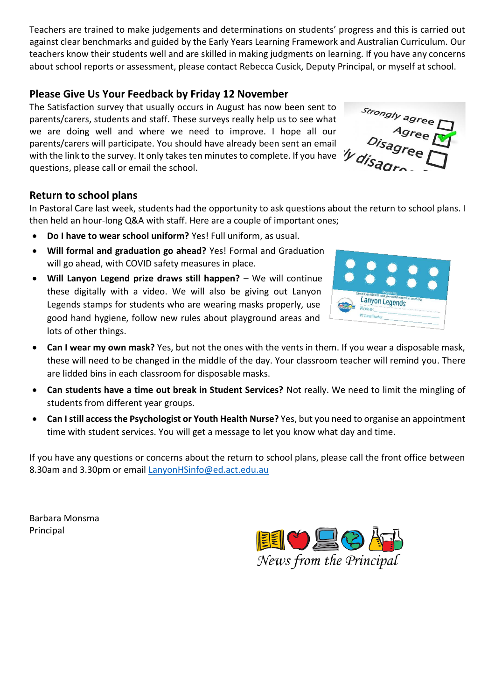Teachers are trained to make judgements and determinations on students' progress and this is carried out against clear benchmarks and guided by the Early Years Learning Framework and Australian Curriculum. Our teachers know their students well and are skilled in making judgments on learning. If you have any concerns about school reports or assessment, please contact Rebecca Cusick, Deputy Principal, or myself at school.

#### **Please Give Us Your Feedback by Friday 12 November**

The Satisfaction survey that usually occurs in August has now been sent to parents/carers, students and staff. These surveys really help us to see what we are doing well and where we need to improve. I hope all our parents/carers will participate. You should have already been sent an email parents/carers will participate. To a shown that can give  $f_{\ell}$  and  $f_{\ell}$  are  $\mathscr{M}_{\ell}$ questions, please call or email the school.

#### **Return to school plans**

In Pastoral Care last week, students had the opportunity to ask questions about the return to school plans. I then held an hour-long Q&A with staff. Here are a couple of important ones;

- **Do I have to wear school uniform?** Yes! Full uniform, as usual.
- **Will formal and graduation go ahead?** Yes! Formal and Graduation will go ahead, with COVID safety measures in place.
- **Will Lanyon Legend prize draws still happen?** We will continue these digitally with a video. We will also be giving out Lanyon Legends stamps for students who are wearing masks properly, use good hand hygiene, follow new rules about playground areas and lots of other things.



alerer<br>Agree

- **Can I wear my own mask?** Yes, but not the ones with the vents in them. If you wear a disposable mask, these will need to be changed in the middle of the day. Your classroom teacher will remind you. There are lidded bins in each classroom for disposable masks.
- **Can students have a time out break in Student Services?** Not really. We need to limit the mingling of students from different year groups.
- **Can I still access the Psychologist or Youth Health Nurse?** Yes, but you need to organise an appointment time with student services. You will get a message to let you know what day and time.

If you have any questions or concerns about the return to school plans, please call the front office between 8.30am and 3.30pm or email [LanyonHSinfo@ed.act.edu.au](mailto:LanyonHSinfo@ed.act.edu.au)

Barbara Monsma Principal

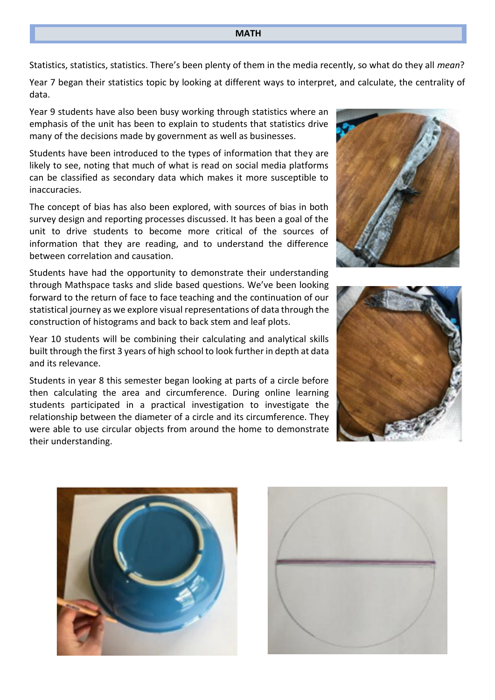Statistics, statistics, statistics. There's been plenty of them in the media recently, so what do they all *mean*?

Year 7 began their statistics topic by looking at different ways to interpret, and calculate, the centrality of data.

Year 9 students have also been busy working through statistics where an emphasis of the unit has been to explain to students that statistics drive many of the decisions made by government as well as businesses.

Students have been introduced to the types of information that they are likely to see, noting that much of what is read on social media platforms can be classified as secondary data which makes it more susceptible to inaccuracies.

The concept of bias has also been explored, with sources of bias in both survey design and reporting processes discussed. It has been a goal of the unit to drive students to become more critical of the sources of information that they are reading, and to understand the difference between correlation and causation.

Students have had the opportunity to demonstrate their understanding through Mathspace tasks and slide based questions. We've been looking forward to the return of face to face teaching and the continuation of our statistical journey as we explore visual representations of data through the construction of histograms and back to back stem and leaf plots.

Year 10 students will be combining their calculating and analytical skills built through the first 3 years of high school to look further in depth at data and its relevance.

Students in year 8 this semester began looking at parts of a circle before then calculating the area and circumference. During online learning students participated in a practical investigation to investigate the relationship between the diameter of a circle and its circumference. They were able to use circular objects from around the home to demonstrate their understanding.







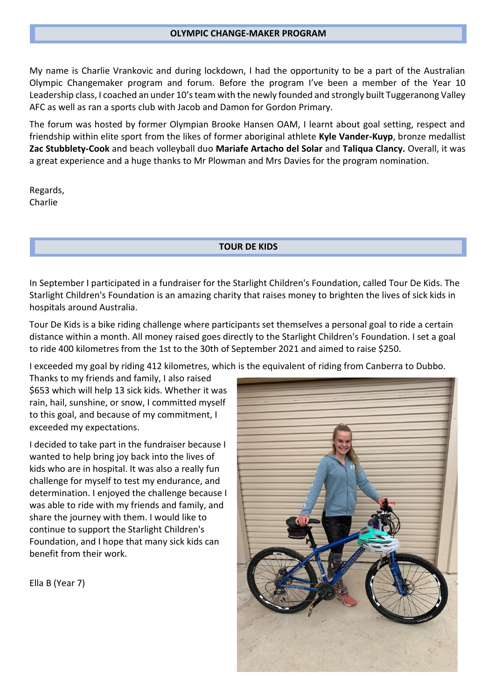My name is Charlie Vrankovic and during lockdown, I had the opportunity to be a part of the Australian Olympic Changemaker program and forum. Before the program I've been a member of the Year 10 Leadership class, I coached an under 10's team with the newly founded and strongly built Tuggeranong Valley AFC as well as ran a sports club with Jacob and Damon for Gordon Primary.

The forum was hosted by former Olympian Brooke Hansen OAM, I learnt about goal setting, respect and friendship within elite sport from the likes of former aboriginal athlete **Kyle Vander-Kuyp**, bronze medallist **Zac Stubblety-Cook** and beach volleyball duo **Mariafe Artacho del Solar** and **Taliqua Clancy.** Overall, it was a great experience and a huge thanks to Mr Plowman and Mrs Davies for the program nomination.

Regards, Charlie

I

**TOUR DE KIDS**

In September I participated in a fundraiser for the Starlight Children's Foundation, called Tour De Kids. The Starlight Children's Foundation is an amazing charity that raises money to brighten the lives of sick kids in hospitals around Australia.

Tour De Kids is a bike riding challenge where participants set themselves a personal goal to ride a certain distance within a month. All money raised goes directly to the Starlight Children's Foundation. I set a goal to ride 400 kilometres from the 1st to the 30th of September 2021 and aimed to raise \$250.

I exceeded my goal by riding 412 kilometres, which is the equivalent of riding from Canberra to Dubbo.

Thanks to my friends and family, I also raised \$653 which will help 13 sick kids. Whether it was rain, hail, sunshine, or snow, I committed myself to this goal, and because of my commitment, I exceeded my expectations.

I decided to take part in the fundraiser because I wanted to help bring joy back into the lives of kids who are in hospital. It was also a really fun challenge for myself to test my endurance, and determination. I enjoyed the challenge because I was able to ride with my friends and family, and share the journey with them. I would like to continue to support the Starlight Children's Foundation, and I hope that many sick kids can benefit from their work.



Ella B (Year 7)